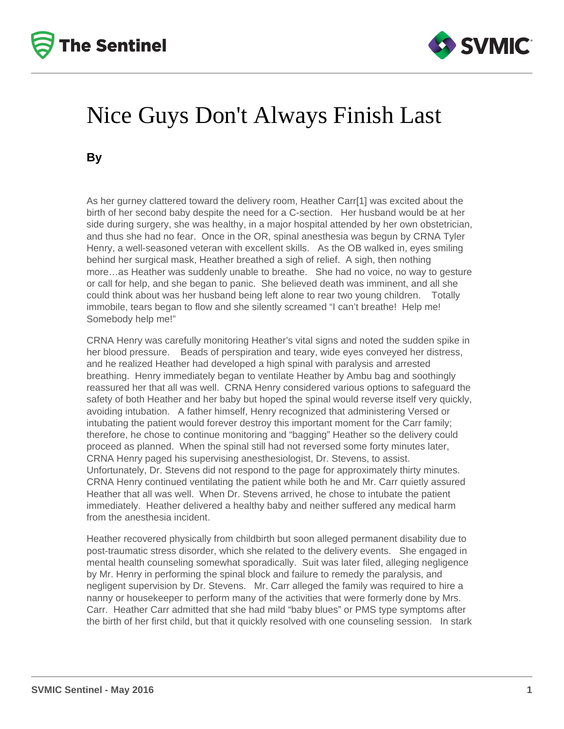



## Nice Guys Don't Always Finish Last

**By**

As her gurney clattered toward the delivery room, Heather Carr[1] was excited about the birth of her second baby despite the need for a C-section. Her husband would be at her side during surgery, she was healthy, in a major hospital attended by her own obstetrician, and thus she had no fear. Once in the OR, spinal anesthesia was begun by CRNA Tyler Henry, a well-seasoned veteran with excellent skills. As the OB walked in, eyes smiling behind her surgical mask, Heather breathed a sigh of relief. A sigh, then nothing more…as Heather was suddenly unable to breathe. She had no voice, no way to gesture or call for help, and she began to panic. She believed death was imminent, and all she could think about was her husband being left alone to rear two young children. Totally immobile, tears began to flow and she silently screamed "I can't breathe! Help me! Somebody help me!"

CRNA Henry was carefully monitoring Heather's vital signs and noted the sudden spike in her blood pressure. Beads of perspiration and teary, wide eyes conveyed her distress, and he realized Heather had developed a high spinal with paralysis and arrested breathing. Henry immediately began to ventilate Heather by Ambu bag and soothingly reassured her that all was well. CRNA Henry considered various options to safeguard the safety of both Heather and her baby but hoped the spinal would reverse itself very quickly, avoiding intubation. A father himself, Henry recognized that administering Versed or intubating the patient would forever destroy this important moment for the Carr family; therefore, he chose to continue monitoring and "bagging" Heather so the delivery could proceed as planned. When the spinal still had not reversed some forty minutes later, CRNA Henry paged his supervising anesthesiologist, Dr. Stevens, to assist. Unfortunately, Dr. Stevens did not respond to the page for approximately thirty minutes. CRNA Henry continued ventilating the patient while both he and Mr. Carr quietly assured Heather that all was well. When Dr. Stevens arrived, he chose to intubate the patient immediately. Heather delivered a healthy baby and neither suffered any medical harm from the anesthesia incident.

Heather recovered physically from childbirth but soon alleged permanent disability due to post-traumatic stress disorder, which she related to the delivery events. She engaged in mental health counseling somewhat sporadically. Suit was later filed, alleging negligence by Mr. Henry in performing the spinal block and failure to remedy the paralysis, and negligent supervision by Dr. Stevens. Mr. Carr alleged the family was required to hire a nanny or housekeeper to perform many of the activities that were formerly done by Mrs. Carr. Heather Carr admitted that she had mild "baby blues" or PMS type symptoms after the birth of her first child, but that it quickly resolved with one counseling session. In stark